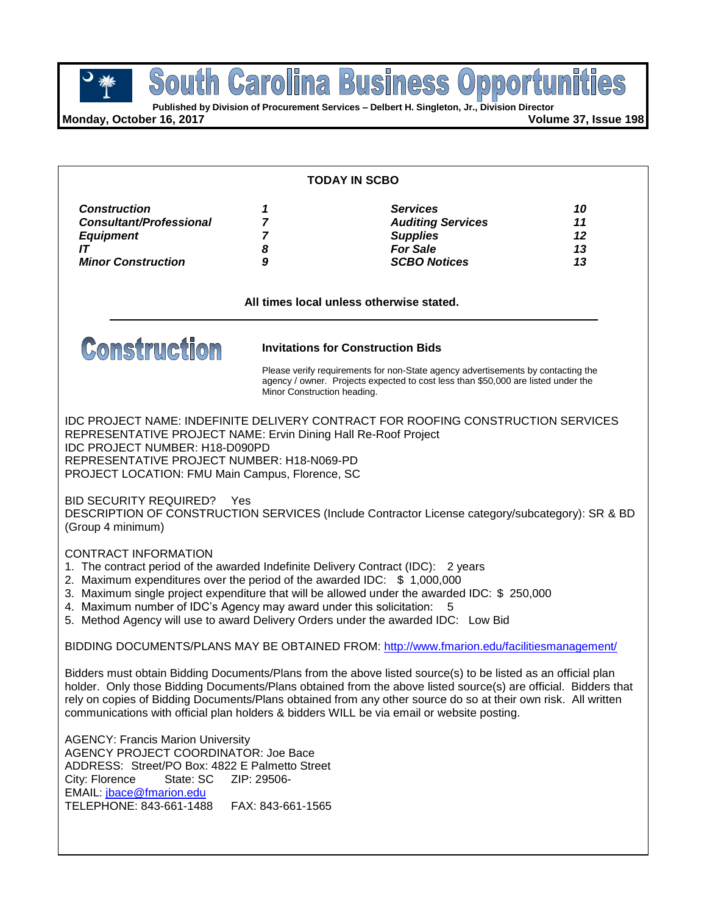**Published by Division of Procurement Services – Delbert H. Singleton, Jr., Division Director**

**Monday, October 16, 2017 Volume 37, Issue 198**

| <b>TODAY IN SCBO</b>                                                                                                                                                                                                                                                                                                                                                                                                                                          |                                                                                                                                                                                                                                                  |                                                                                                          |                            |  |  |
|---------------------------------------------------------------------------------------------------------------------------------------------------------------------------------------------------------------------------------------------------------------------------------------------------------------------------------------------------------------------------------------------------------------------------------------------------------------|--------------------------------------------------------------------------------------------------------------------------------------------------------------------------------------------------------------------------------------------------|----------------------------------------------------------------------------------------------------------|----------------------------|--|--|
| <b>Construction</b><br><b>Consultant/Professional</b><br><b>Equipment</b><br>IT<br><b>Minor Construction</b>                                                                                                                                                                                                                                                                                                                                                  | 1<br>$\overline{7}$<br>$\overline{7}$<br>8<br>9                                                                                                                                                                                                  | <b>Services</b><br><b>Auditing Services</b><br><b>Supplies</b><br><b>For Sale</b><br><b>SCBO Notices</b> | 10<br>11<br>12<br>13<br>13 |  |  |
| All times local unless otherwise stated.                                                                                                                                                                                                                                                                                                                                                                                                                      |                                                                                                                                                                                                                                                  |                                                                                                          |                            |  |  |
| <b>Construction</b>                                                                                                                                                                                                                                                                                                                                                                                                                                           | <b>Invitations for Construction Bids</b><br>Please verify requirements for non-State agency advertisements by contacting the<br>agency / owner. Projects expected to cost less than \$50,000 are listed under the<br>Minor Construction heading. |                                                                                                          |                            |  |  |
| IDC PROJECT NAME: INDEFINITE DELIVERY CONTRACT FOR ROOFING CONSTRUCTION SERVICES<br>REPRESENTATIVE PROJECT NAME: Ervin Dining Hall Re-Roof Project<br><b>IDC PROJECT NUMBER: H18-D090PD</b><br>REPRESENTATIVE PROJECT NUMBER: H18-N069-PD<br>PROJECT LOCATION: FMU Main Campus, Florence, SC                                                                                                                                                                  |                                                                                                                                                                                                                                                  |                                                                                                          |                            |  |  |
| <b>BID SECURITY REQUIRED?</b><br>- Yes<br>DESCRIPTION OF CONSTRUCTION SERVICES (Include Contractor License category/subcategory): SR & BD<br>(Group 4 minimum)                                                                                                                                                                                                                                                                                                |                                                                                                                                                                                                                                                  |                                                                                                          |                            |  |  |
| <b>CONTRACT INFORMATION</b><br>1. The contract period of the awarded Indefinite Delivery Contract (IDC): 2 years<br>2. Maximum expenditures over the period of the awarded IDC: \$1,000,000<br>3. Maximum single project expenditure that will be allowed under the awarded IDC: \$ 250,000<br>4. Maximum number of IDC's Agency may award under this solicitation:<br>5<br>5. Method Agency will use to award Delivery Orders under the awarded IDC: Low Bid |                                                                                                                                                                                                                                                  |                                                                                                          |                            |  |  |
| BIDDING DOCUMENTS/PLANS MAY BE OBTAINED FROM: http://www.fmarion.edu/facilitiesmanagement/                                                                                                                                                                                                                                                                                                                                                                    |                                                                                                                                                                                                                                                  |                                                                                                          |                            |  |  |
| Bidders must obtain Bidding Documents/Plans from the above listed source(s) to be listed as an official plan<br>holder. Only those Bidding Documents/Plans obtained from the above listed source(s) are official. Bidders that<br>rely on copies of Bidding Documents/Plans obtained from any other source do so at their own risk. All written<br>communications with official plan holders & bidders WILL be via email or website posting.                  |                                                                                                                                                                                                                                                  |                                                                                                          |                            |  |  |
| <b>AGENCY: Francis Marion University</b><br><b>AGENCY PROJECT COORDINATOR: Joe Bace</b><br>ADDRESS: Street/PO Box: 4822 E Palmetto Street<br>State: SC<br>ZIP: 29506-<br>City: Florence<br>EMAIL: jbace@fmarion.edu<br>TELEPHONE: 843-661-1488<br>FAX: 843-661-1565                                                                                                                                                                                           |                                                                                                                                                                                                                                                  |                                                                                                          |                            |  |  |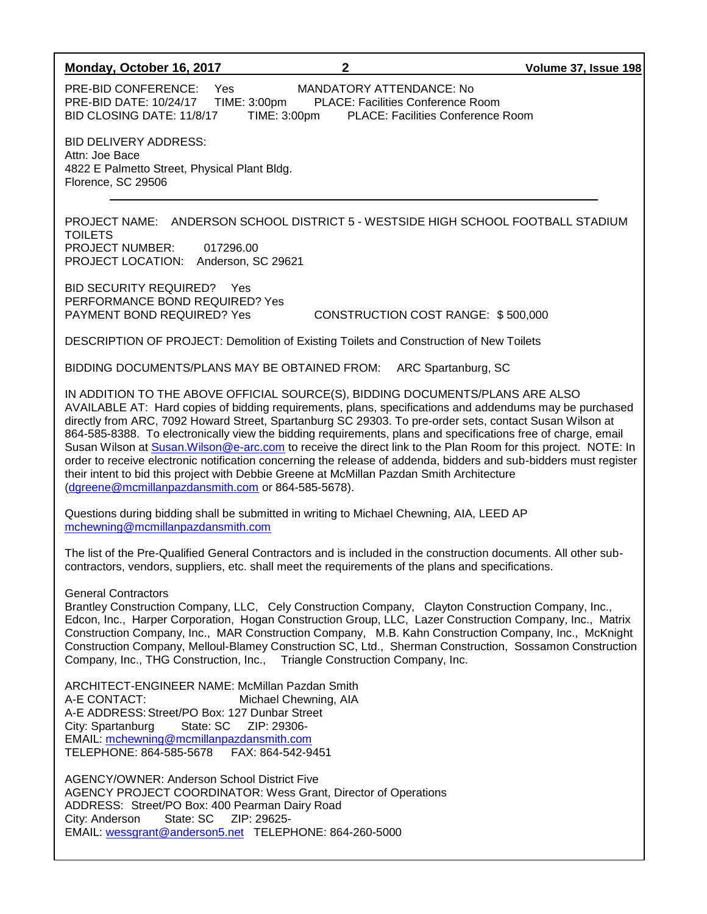#### **Monday, October 16, 2017 2 Volume 37, Issue 198**

PRE-BID CONFERENCE: Yes MANDATORY ATTENDANCE: No<br>PRE-BID DATE: 10/24/17 TIME: 3:00pm PLACE: Facilities Conference R PRE-BID DATE: 10/24/17 TIME: 3:00pm PLACE: Facilities Conference Room BID CLOSING DATE: 11/8/17 TIME: 3:00pm PLACE: Facilities Conference Room

BID DELIVERY ADDRESS: Attn: Joe Bace 4822 E Palmetto Street, Physical Plant Bldg. Florence, SC 29506

PROJECT NAME: ANDERSON SCHOOL DISTRICT 5 - WESTSIDE HIGH SCHOOL FOOTBALL STADIUM TOILETS PROJECT NUMBER: 017296.00 PROJECT LOCATION: Anderson, SC 29621

BID SECURITY REQUIRED? Yes PERFORMANCE BOND REQUIRED? Yes

PAYMENT BOND REQUIRED? Yes CONSTRUCTION COST RANGE: \$ 500,000

DESCRIPTION OF PROJECT: Demolition of Existing Toilets and Construction of New Toilets

BIDDING DOCUMENTS/PLANS MAY BE OBTAINED FROM: ARC Spartanburg, SC

IN ADDITION TO THE ABOVE OFFICIAL SOURCE(S), BIDDING DOCUMENTS/PLANS ARE ALSO AVAILABLE AT: Hard copies of bidding requirements, plans, specifications and addendums may be purchased directly from ARC, 7092 Howard Street, Spartanburg SC 29303. To pre-order sets, contact Susan Wilson at 864-585-8388. To electronically view the bidding requirements, plans and specifications free of charge, email Susan Wilson at [Susan.Wilson@e-arc.com](mailto:Susan.Wilson@e-arc.com) to receive the direct link to the Plan Room for this project. NOTE: In order to receive electronic notification concerning the release of addenda, bidders and sub-bidders must register their intent to bid this project with Debbie Greene at McMillan Pazdan Smith Architecture [\(dgreene@mcmillanpazdansmith.com](mailto:dgreene@mcmillanpazdansmith.com) or 864-585-5678).

Questions during bidding shall be submitted in writing to Michael Chewning, AIA, LEED AP [mchewning@mcmillanpazdansmith.com](mailto:mchewning@mcmillanpazdansmith.com)

The list of the Pre-Qualified General Contractors and is included in the construction documents. All other subcontractors, vendors, suppliers, etc. shall meet the requirements of the plans and specifications.

General Contractors

Brantley Construction Company, LLC, Cely Construction Company, Clayton Construction Company, Inc., Edcon, Inc., Harper Corporation, Hogan Construction Group, LLC, Lazer Construction Company, Inc., Matrix Construction Company, Inc., MAR Construction Company, M.B. Kahn Construction Company, Inc., McKnight Construction Company, Melloul-Blamey Construction SC, Ltd., Sherman Construction, Sossamon Construction Company, Inc., THG Construction, Inc., Triangle Construction Company, Inc.

ARCHITECT-ENGINEER NAME: McMillan Pazdan Smith A-E CONTACT: Michael Chewning, AIA A-E ADDRESS: Street/PO Box: 127 Dunbar Street<br>City: Spartanburg State: SC ZIP: 29306-City: Spartanburg EMAIL: [mchewning@mcmillanpazdansmith.com](mailto:mchewning@mcmillanpazdansmith.com) TELEPHONE: 864-585-5678 FAX: 864-542-9451

AGENCY/OWNER: Anderson School District Five AGENCY PROJECT COORDINATOR: Wess Grant, Director of Operations ADDRESS: Street/PO Box: 400 Pearman Dairy Road City: Anderson State: SC ZIP: 29625- EMAIL: [wessgrant@anderson5.net](mailto:wessgrant@anderson5.net) TELEPHONE: 864-260-5000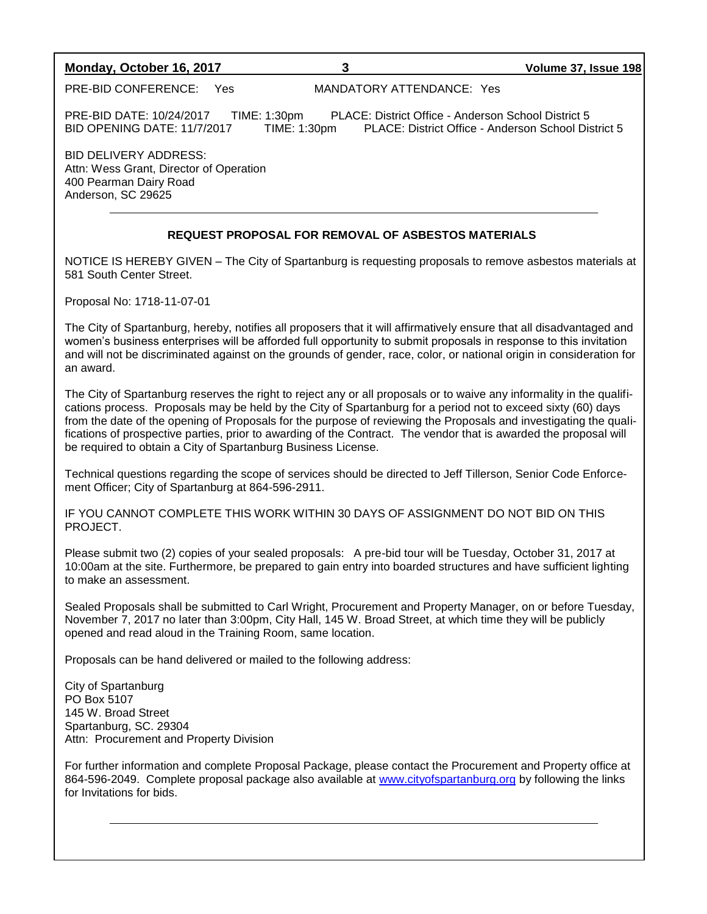### **Monday, October 16, 2017 3 Volume 37, Issue 198**

PRE-BID CONFERENCE: Yes MANDATORY ATTENDANCE: Yes

PRE-BID DATE: 10/24/2017 TIME: 1:30pm PLACE: District Office - Anderson School District 5 BID OPENING DATE: 11/7/2017 TIME: 1:30pm PLACE: District Office - Anderson School District 5

BID DELIVERY ADDRESS: Attn: Wess Grant, Director of Operation 400 Pearman Dairy Road Anderson, SC 29625

### **REQUEST PROPOSAL FOR REMOVAL OF ASBESTOS MATERIALS**

NOTICE IS HEREBY GIVEN – The City of Spartanburg is requesting proposals to remove asbestos materials at 581 South Center Street.

Proposal No: 1718-11-07-01

The City of Spartanburg, hereby, notifies all proposers that it will affirmatively ensure that all disadvantaged and women's business enterprises will be afforded full opportunity to submit proposals in response to this invitation and will not be discriminated against on the grounds of gender, race, color, or national origin in consideration for an award.

The City of Spartanburg reserves the right to reject any or all proposals or to waive any informality in the qualifications process. Proposals may be held by the City of Spartanburg for a period not to exceed sixty (60) days from the date of the opening of Proposals for the purpose of reviewing the Proposals and investigating the qualifications of prospective parties, prior to awarding of the Contract. The vendor that is awarded the proposal will be required to obtain a City of Spartanburg Business License.

Technical questions regarding the scope of services should be directed to Jeff Tillerson, Senior Code Enforcement Officer; City of Spartanburg at 864-596-2911.

IF YOU CANNOT COMPLETE THIS WORK WITHIN 30 DAYS OF ASSIGNMENT DO NOT BID ON THIS PROJECT.

Please submit two (2) copies of your sealed proposals: A pre-bid tour will be Tuesday, October 31, 2017 at 10:00am at the site. Furthermore, be prepared to gain entry into boarded structures and have sufficient lighting to make an assessment.

Sealed Proposals shall be submitted to Carl Wright, Procurement and Property Manager, on or before Tuesday, November 7, 2017 no later than 3:00pm, City Hall, 145 W. Broad Street, at which time they will be publicly opened and read aloud in the Training Room, same location.

Proposals can be hand delivered or mailed to the following address:

City of Spartanburg PO Box 5107 145 W. Broad Street Spartanburg, SC. 29304 Attn: Procurement and Property Division

For further information and complete Proposal Package, please contact the Procurement and Property office at 864-596-2049. Complete proposal package also available at [www.cityofspartanburg.org](http://www.cityofspartanburg.org/) by following the links for Invitations for bids.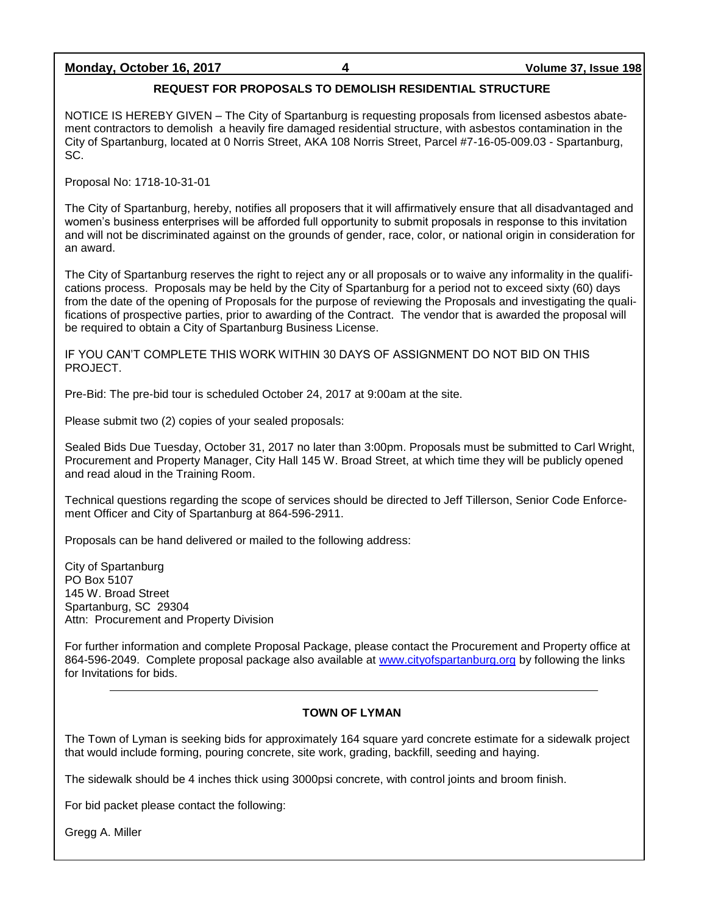### **Monday, October 16, 2017 4 Volume 37, Issue 198**

### **REQUEST FOR PROPOSALS TO DEMOLISH RESIDENTIAL STRUCTURE**

NOTICE IS HEREBY GIVEN – The City of Spartanburg is requesting proposals from licensed asbestos abatement contractors to demolish a heavily fire damaged residential structure, with asbestos contamination in the City of Spartanburg, located at 0 Norris Street, AKA 108 Norris Street, Parcel #7-16-05-009.03 - Spartanburg, SC.

Proposal No: 1718-10-31-01

The City of Spartanburg, hereby, notifies all proposers that it will affirmatively ensure that all disadvantaged and women's business enterprises will be afforded full opportunity to submit proposals in response to this invitation and will not be discriminated against on the grounds of gender, race, color, or national origin in consideration for an award.

The City of Spartanburg reserves the right to reject any or all proposals or to waive any informality in the qualifications process. Proposals may be held by the City of Spartanburg for a period not to exceed sixty (60) days from the date of the opening of Proposals for the purpose of reviewing the Proposals and investigating the qualifications of prospective parties, prior to awarding of the Contract. The vendor that is awarded the proposal will be required to obtain a City of Spartanburg Business License.

IF YOU CAN'T COMPLETE THIS WORK WITHIN 30 DAYS OF ASSIGNMENT DO NOT BID ON THIS PROJECT.

Pre-Bid: The pre-bid tour is scheduled October 24, 2017 at 9:00am at the site.

Please submit two (2) copies of your sealed proposals:

Sealed Bids Due Tuesday, October 31, 2017 no later than 3:00pm. Proposals must be submitted to Carl Wright, Procurement and Property Manager, City Hall 145 W. Broad Street, at which time they will be publicly opened and read aloud in the Training Room.

Technical questions regarding the scope of services should be directed to Jeff Tillerson, Senior Code Enforcement Officer and City of Spartanburg at 864-596-2911.

Proposals can be hand delivered or mailed to the following address:

City of Spartanburg PO Box 5107 145 W. Broad Street Spartanburg, SC 29304 Attn: Procurement and Property Division

For further information and complete Proposal Package, please contact the Procurement and Property office at 864-596-2049. Complete proposal package also available at [www.cityofspartanburg.org](http://www.cityofspartanburg.org/) by following the links for Invitations for bids.

### **TOWN OF LYMAN**

The Town of Lyman is seeking bids for approximately 164 square yard concrete estimate for a sidewalk project that would include forming, pouring concrete, site work, grading, backfill, seeding and haying.

The sidewalk should be 4 inches thick using 3000psi concrete, with control joints and broom finish.

For bid packet please contact the following:

Gregg A. Miller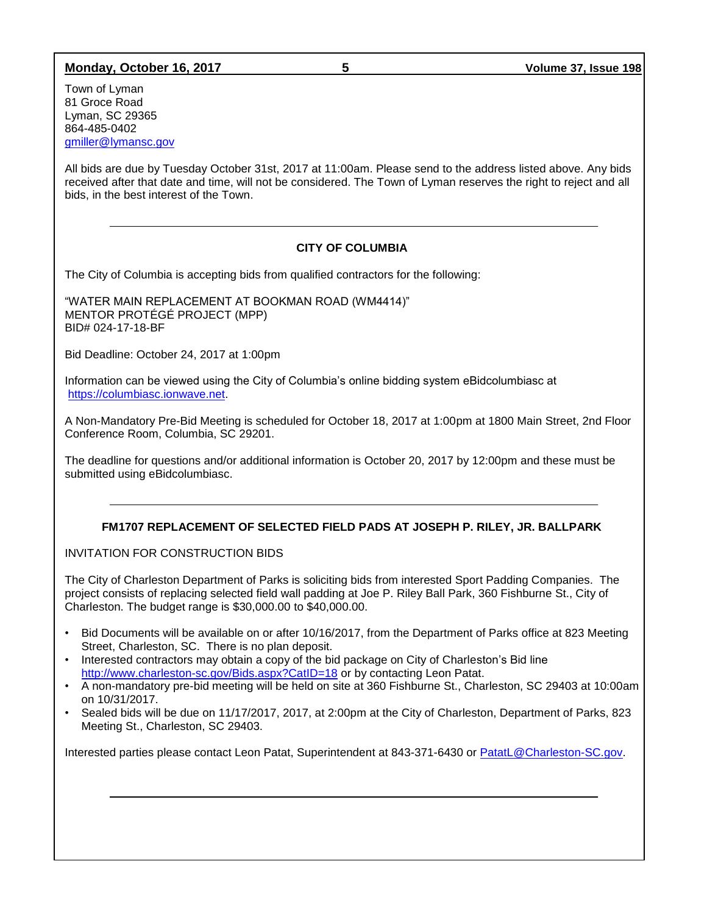### **Monday, October 16, 2017 5 Volume 37, Issue 198**

Town of Lyman 81 Groce Road Lyman, SC 29365 864-485-0402 [gmiller@lymansc.gov](mailto:gmiller@lymansc.gov)

All bids are due by Tuesday October 31st, 2017 at 11:00am. Please send to the address listed above. Any bids received after that date and time, will not be considered. The Town of Lyman reserves the right to reject and all bids, in the best interest of the Town.

### **CITY OF COLUMBIA**

The City of Columbia is accepting bids from qualified contractors for the following:

"WATER MAIN REPLACEMENT AT BOOKMAN ROAD (WM4414)" MENTOR PROTÉGÉ PROJECT (MPP) BID# 024-17-18-BF

Bid Deadline: October 24, 2017 at 1:00pm

Information can be viewed using the City of Columbia's online bidding system eBidcolumbiasc at [https://columbiasc.ionwave.net.](https://columbiasc.ionwave.net/)

A Non-Mandatory Pre-Bid Meeting is scheduled for October 18, 2017 at 1:00pm at 1800 Main Street, 2nd Floor Conference Room, Columbia, SC 29201.

The deadline for questions and/or additional information is October 20, 2017 by 12:00pm and these must be submitted using eBidcolumbiasc.

### **FM1707 REPLACEMENT OF SELECTED FIELD PADS AT JOSEPH P. RILEY, JR. BALLPARK**

INVITATION FOR CONSTRUCTION BIDS

The City of Charleston Department of Parks is soliciting bids from interested Sport Padding Companies. The project consists of replacing selected field wall padding at Joe P. Riley Ball Park, 360 Fishburne St., City of Charleston. The budget range is \$30,000.00 to \$40,000.00.

- Bid Documents will be available on or after 10/16/2017, from the Department of Parks office at 823 Meeting Street, Charleston, SC. There is no plan deposit.
- Interested contractors may obtain a copy of the bid package on City of Charleston's Bid line <http://www.charleston-sc.gov/Bids.aspx?CatID=18> or by contacting Leon Patat.
- A non-mandatory pre-bid meeting will be held on site at 360 Fishburne St., Charleston, SC 29403 at 10:00am on 10/31/2017.
- Sealed bids will be due on 11/17/2017, 2017, at 2:00pm at the City of Charleston, Department of Parks, 823 Meeting St., Charleston, SC 29403.

Interested parties please contact Leon Patat, Superintendent at 843-371-6430 or [PatatL@Charleston-SC.gov.](mailto:PatatL@Charleston-SC.gov)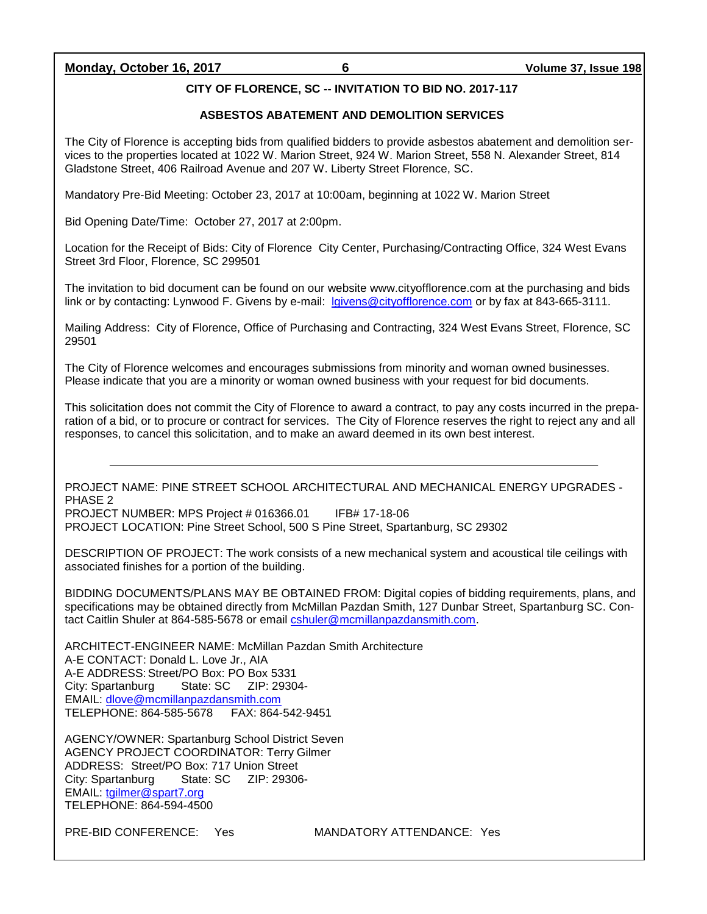### **Monday, October 16, 2017 6 Volume 37, Issue 198**

### **CITY OF FLORENCE, SC -- INVITATION TO BID NO. 2017-117**

### **ASBESTOS ABATEMENT AND DEMOLITION SERVICES**

The City of Florence is accepting bids from qualified bidders to provide asbestos abatement and demolition services to the properties located at 1022 W. Marion Street, 924 W. Marion Street, 558 N. Alexander Street, 814 Gladstone Street, 406 Railroad Avenue and 207 W. Liberty Street Florence, SC.

Mandatory Pre-Bid Meeting: October 23, 2017 at 10:00am, beginning at 1022 W. Marion Street

Bid Opening Date/Time: October 27, 2017 at 2:00pm.

Location for the Receipt of Bids: City of Florence City Center, Purchasing/Contracting Office, 324 West Evans Street 3rd Floor, Florence, SC 299501

The invitation to bid document can be found on our website www.cityofflorence.com at the purchasing and bids link or by contacting: Lynwood F. Givens by e-mail: [lgivens@cityofflorence.com](mailto:lgivens@cityofflorence.com) or by fax at 843-665-3111.

Mailing Address: City of Florence, Office of Purchasing and Contracting, 324 West Evans Street, Florence, SC 29501

The City of Florence welcomes and encourages submissions from minority and woman owned businesses. Please indicate that you are a minority or woman owned business with your request for bid documents.

This solicitation does not commit the City of Florence to award a contract, to pay any costs incurred in the preparation of a bid, or to procure or contract for services. The City of Florence reserves the right to reject any and all responses, to cancel this solicitation, and to make an award deemed in its own best interest.

PROJECT NAME: PINE STREET SCHOOL ARCHITECTURAL AND MECHANICAL ENERGY UPGRADES - PHASE 2

PROJECT NUMBER: MPS Project # 016366.01 IFB# 17-18-06 PROJECT LOCATION: Pine Street School, 500 S Pine Street, Spartanburg, SC 29302

DESCRIPTION OF PROJECT: The work consists of a new mechanical system and acoustical tile ceilings with associated finishes for a portion of the building.

BIDDING DOCUMENTS/PLANS MAY BE OBTAINED FROM: Digital copies of bidding requirements, plans, and specifications may be obtained directly from McMillan Pazdan Smith, 127 Dunbar Street, Spartanburg SC. Contact Caitlin Shuler at 864-585-5678 or email [cshuler@mcmillanpazdansmith.com.](mailto:cshuler@mcmillanpazdansmith.com)

ARCHITECT-ENGINEER NAME: McMillan Pazdan Smith Architecture A-E CONTACT: Donald L. Love Jr., AIA A-E ADDRESS: Street/PO Box: PO Box 5331 City: Spartanburg State: SC ZIP: 29304- EMAIL: [dlove@mcmillanpazdansmith.com](mailto:dlove@mcmillanpazdansmith.com) TELEPHONE: 864-585-5678 FAX: 864-542-9451

AGENCY/OWNER: Spartanburg School District Seven AGENCY PROJECT COORDINATOR: Terry Gilmer ADDRESS: Street/PO Box: 717 Union Street City: Spartanburg State: SC ZIP: 29306- EMAIL: [tgilmer@spart7.org](mailto:tgilmer@spart7.org) TELEPHONE: 864-594-4500

PRE-BID CONFERENCE: Yes MANDATORY ATTENDANCE: Yes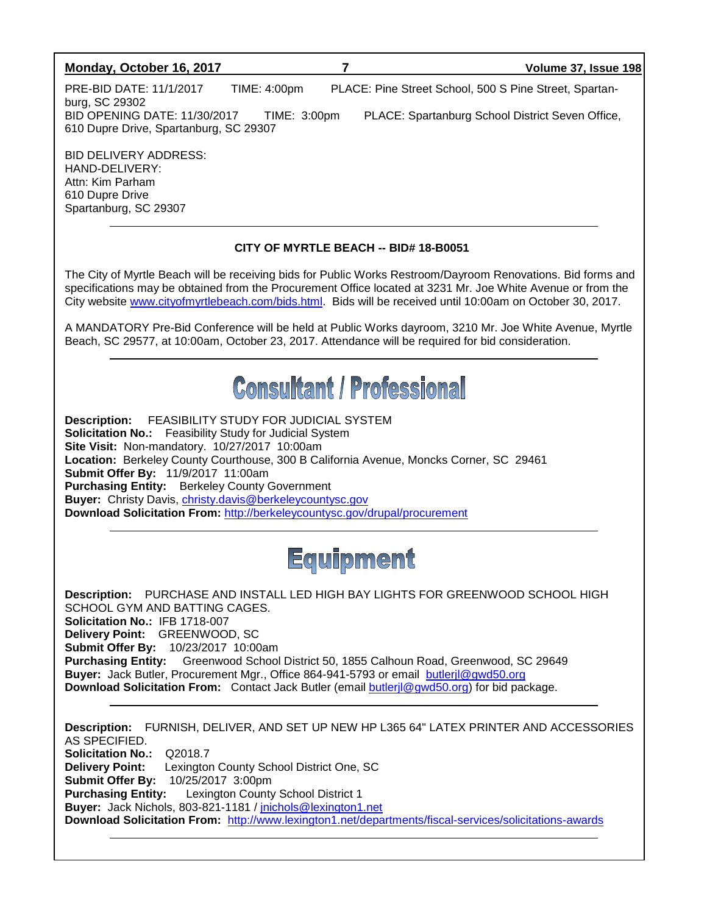

**Download Solicitation From:** <http://www.lexington1.net/departments/fiscal-services/solicitations-awards>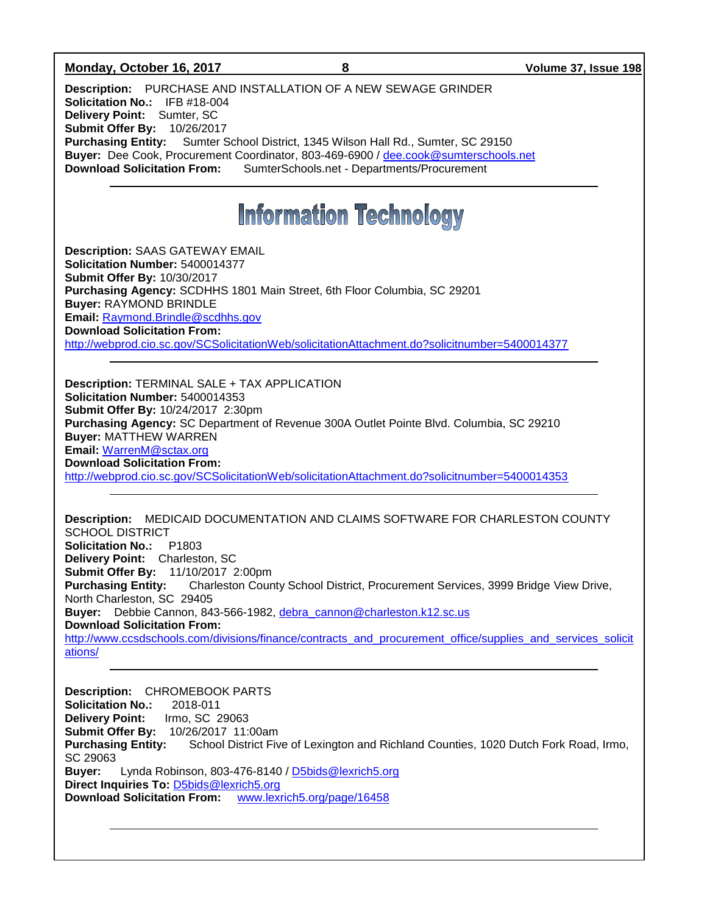### **Monday, October 16, 2017 8 Volume 37, Issue 198**

**Description:** PURCHASE AND INSTALLATION OF A NEW SEWAGE GRINDER **Solicitation No.:** IFB #18-004 **Delivery Point:** Sumter, SC **Submit Offer By:** 10/26/2017 **Purchasing Entity:** Sumter School District, 1345 Wilson Hall Rd., Sumter, SC 29150 **Buyer:** Dee Cook, Procurement Coordinator, 803-469-6900 / [dee.cook@sumterschools.net](mailto:dee.cook@sumterschools.net) **Download Solicitation From:** SumterSchools.net - Departments/Procurement

## **Information Technology**

**Description:** SAAS GATEWAY EMAIL **Solicitation Number:** 5400014377 **Submit Offer By:** 10/30/2017 **Purchasing Agency:** SCDHHS 1801 Main Street, 6th Floor Columbia, SC 29201 **Buyer:** RAYMOND BRINDLE **Email:** [Raymond.Brindle@scdhhs.gov](mailto:Raymond.Brindle@scdhhs.gov) **Download Solicitation From:**  <http://webprod.cio.sc.gov/SCSolicitationWeb/solicitationAttachment.do?solicitnumber=5400014377>

**Description:** TERMINAL SALE + TAX APPLICATION **Solicitation Number:** 5400014353 **Submit Offer By:** 10/24/2017 2:30pm **Purchasing Agency:** SC Department of Revenue 300A Outlet Pointe Blvd. Columbia, SC 29210 **Buyer:** MATTHEW WARREN **Email:** [WarrenM@sctax.org](mailto:WarrenM@sctax.org) **Download Solicitation From:**  <http://webprod.cio.sc.gov/SCSolicitationWeb/solicitationAttachment.do?solicitnumber=5400014353>

**Description:** MEDICAID DOCUMENTATION AND CLAIMS SOFTWARE FOR CHARLESTON COUNTY SCHOOL DISTRICT **Solicitation No.:** P1803 **Delivery Point:** Charleston, SC **Submit Offer By:** 11/10/2017 2:00pm<br>**Purchasing Entity:** Charleston Cour **Purchasing Entity:** Charleston County School District, Procurement Services, 3999 Bridge View Drive, North Charleston, SC 29405 Buver: Debbie Cannon, 843-566-1982, [debra\\_cannon@charleston.k12.sc.us](mailto:debra_cannon@charleston.k12.sc.us) **Download Solicitation From:** [http://www.ccsdschools.com/divisions/finance/contracts\\_and\\_procurement\\_office/supplies\\_and\\_services\\_solicit](http://www.ccsdschools.com/divisions/finance/contracts_and_procurement_office/supplies_and_services_solicitations/) [ations/](http://www.ccsdschools.com/divisions/finance/contracts_and_procurement_office/supplies_and_services_solicitations/)

**Description:** CHROMEBOOK PARTS **Solicitation No.:** 2018-011 **Delivery Point:** Irmo, SC 29063 **Submit Offer By:** 10/26/2017 11:00am **Purchasing Entity:** School District Five of Lexington and Richland Counties, 1020 Dutch Fork Road, Irmo, SC 29063 **Buyer:** Lynda Robinson, 803-476-8140 / [D5bids@lexrich5.org](mailto:D5bids@lexrich5.org) **Direct Inquiries To:** [D5bids@lexrich5.org](mailto:D5bids@lexrich5.org) **Download Solicitation From:** [www.lexrich5.org/page/16458](http://www.lexrich5.org/page/16458)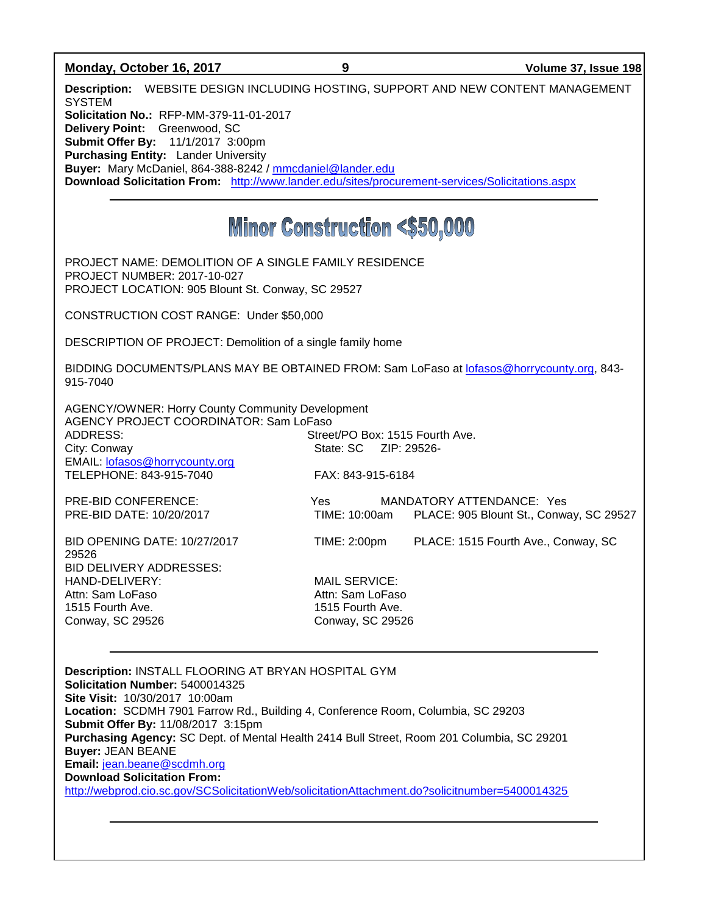| Monday, October 16, 2017                                                                                                                                     | 9                               | Volume 37, Issue 198                    |  |  |
|--------------------------------------------------------------------------------------------------------------------------------------------------------------|---------------------------------|-----------------------------------------|--|--|
| Description: WEBSITE DESIGN INCLUDING HOSTING, SUPPORT AND NEW CONTENT MANAGEMENT<br><b>SYSTEM</b>                                                           |                                 |                                         |  |  |
| Solicitation No.: RFP-MM-379-11-01-2017                                                                                                                      |                                 |                                         |  |  |
| Delivery Point: Greenwood, SC<br>Submit Offer By: 11/1/2017 3:00pm                                                                                           |                                 |                                         |  |  |
| <b>Purchasing Entity: Lander University</b>                                                                                                                  |                                 |                                         |  |  |
| Buyer: Mary McDaniel, 864-388-8242 / mmcdaniel@lander.edu<br>Download Solicitation From: http://www.lander.edu/sites/procurement-services/Solicitations.aspx |                                 |                                         |  |  |
|                                                                                                                                                              |                                 |                                         |  |  |
| <b>Minor Construction &lt;\$50,000</b>                                                                                                                       |                                 |                                         |  |  |
| PROJECT NAME: DEMOLITION OF A SINGLE FAMILY RESIDENCE                                                                                                        |                                 |                                         |  |  |
| <b>PROJECT NUMBER: 2017-10-027</b>                                                                                                                           |                                 |                                         |  |  |
| PROJECT LOCATION: 905 Blount St. Conway, SC 29527                                                                                                            |                                 |                                         |  |  |
| CONSTRUCTION COST RANGE: Under \$50,000                                                                                                                      |                                 |                                         |  |  |
| DESCRIPTION OF PROJECT: Demolition of a single family home                                                                                                   |                                 |                                         |  |  |
| BIDDING DOCUMENTS/PLANS MAY BE OBTAINED FROM: Sam LoFaso at lofasos@horrycounty.org, 843-<br>915-7040                                                        |                                 |                                         |  |  |
| <b>AGENCY/OWNER: Horry County Community Development</b>                                                                                                      |                                 |                                         |  |  |
| AGENCY PROJECT COORDINATOR: Sam LoFaso                                                                                                                       |                                 |                                         |  |  |
| <b>ADDRESS:</b><br>City: Conway                                                                                                                              | Street/PO Box: 1515 Fourth Ave. |                                         |  |  |
| EMAIL: lofasos@horrycounty.org                                                                                                                               |                                 |                                         |  |  |
| TELEPHONE: 843-915-7040                                                                                                                                      | FAX: 843-915-6184               |                                         |  |  |
| PRE-BID CONFERENCE:                                                                                                                                          | <b>Yes</b>                      | MANDATORY ATTENDANCE: Yes               |  |  |
| PRE-BID DATE: 10/20/2017                                                                                                                                     | TIME: 10:00am                   | PLACE: 905 Blount St., Conway, SC 29527 |  |  |
| <b>BID OPENING DATE: 10/27/2017</b>                                                                                                                          | TIME: 2:00pm                    | PLACE: 1515 Fourth Ave., Conway, SC     |  |  |
| 29526<br>BID DELIVERY ADDRESSES:                                                                                                                             |                                 |                                         |  |  |
| HAND-DELIVERY:                                                                                                                                               | <b>MAIL SERVICE:</b>            |                                         |  |  |
| Attn: Sam LoFaso                                                                                                                                             | Attn: Sam LoFaso                |                                         |  |  |
| 1515 Fourth Ave.                                                                                                                                             | 1515 Fourth Ave.                |                                         |  |  |
| Conway, SC 29526                                                                                                                                             | <b>Conway, SC 29526</b>         |                                         |  |  |
|                                                                                                                                                              |                                 |                                         |  |  |
| Description: INSTALL FLOORING AT BRYAN HOSPITAL GYM                                                                                                          |                                 |                                         |  |  |
| Solicitation Number: 5400014325<br>Site Visit: 10/30/2017 10:00am                                                                                            |                                 |                                         |  |  |
| Location: SCDMH 7901 Farrow Rd., Building 4, Conference Room, Columbia, SC 29203                                                                             |                                 |                                         |  |  |
| Submit Offer By: 11/08/2017 3:15pm                                                                                                                           |                                 |                                         |  |  |
| Purchasing Agency: SC Dept. of Mental Health 2414 Bull Street, Room 201 Columbia, SC 29201                                                                   |                                 |                                         |  |  |
| <b>Buyer: JEAN BEANE</b>                                                                                                                                     |                                 |                                         |  |  |
| Email: jean.beane@scdmh.org<br><b>Download Solicitation From:</b>                                                                                            |                                 |                                         |  |  |
| http://webprod.cio.sc.gov/SCSolicitationWeb/solicitationAttachment.do?solicitnumber=5400014325                                                               |                                 |                                         |  |  |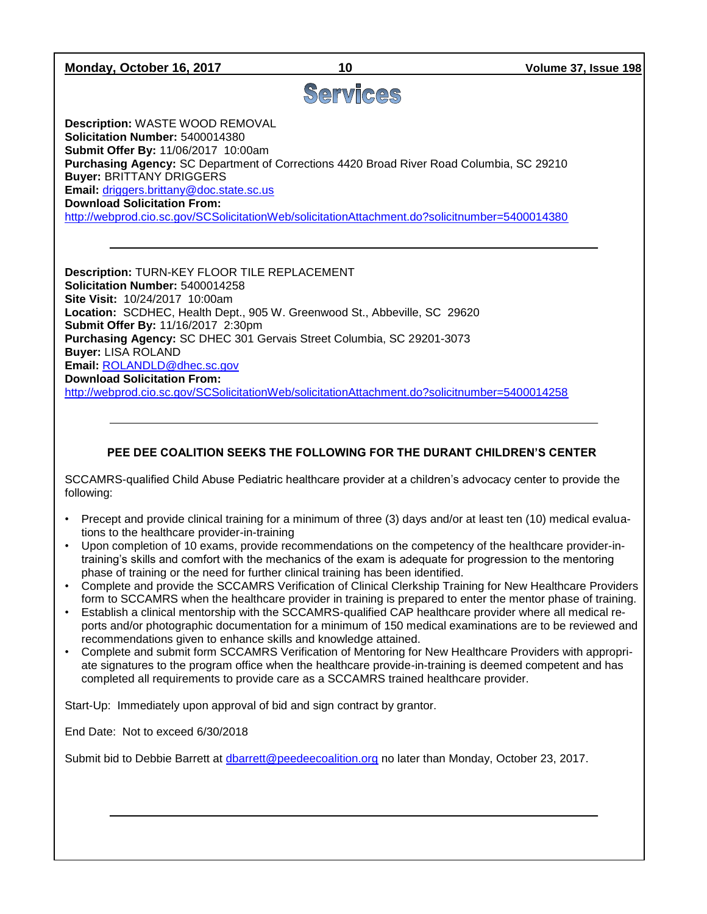### **Monday, October 16, 2017 10 Volume 37, Issue 198**

### Services

**Description:** WASTE WOOD REMOVAL **Solicitation Number:** 5400014380 **Submit Offer By:** 11/06/2017 10:00am **Purchasing Agency:** SC Department of Corrections 4420 Broad River Road Columbia, SC 29210 **Buyer:** BRITTANY DRIGGERS **Email:** [driggers.brittany@doc.state.sc.us](mailto:driggers.brittany@doc.state.sc.us) **Download Solicitation From:**  <http://webprod.cio.sc.gov/SCSolicitationWeb/solicitationAttachment.do?solicitnumber=5400014380>

**Description:** TURN-KEY FLOOR TILE REPLACEMENT **Solicitation Number:** 5400014258 **Site Visit:** 10/24/2017 10:00am **Location:** SCDHEC, Health Dept., 905 W. Greenwood St., Abbeville, SC 29620 **Submit Offer By:** 11/16/2017 2:30pm **Purchasing Agency:** SC DHEC 301 Gervais Street Columbia, SC 29201-3073 **Buyer:** LISA ROLAND **Email:** [ROLANDLD@dhec.sc.gov](mailto:ROLANDLD@dhec.sc.gov) **Download Solicitation From:** 

<http://webprod.cio.sc.gov/SCSolicitationWeb/solicitationAttachment.do?solicitnumber=5400014258>

### **PEE DEE COALITION SEEKS THE FOLLOWING FOR THE DURANT CHILDREN'S CENTER**

SCCAMRS-qualified Child Abuse Pediatric healthcare provider at a children's advocacy center to provide the following:

- Precept and provide clinical training for a minimum of three (3) days and/or at least ten (10) medical evaluations to the healthcare provider-in-training
- Upon completion of 10 exams, provide recommendations on the competency of the healthcare provider-intraining's skills and comfort with the mechanics of the exam is adequate for progression to the mentoring phase of training or the need for further clinical training has been identified.
- Complete and provide the SCCAMRS Verification of Clinical Clerkship Training for New Healthcare Providers form to SCCAMRS when the healthcare provider in training is prepared to enter the mentor phase of training.
- Establish a clinical mentorship with the SCCAMRS-qualified CAP healthcare provider where all medical reports and/or photographic documentation for a minimum of 150 medical examinations are to be reviewed and recommendations given to enhance skills and knowledge attained.
- Complete and submit form SCCAMRS Verification of Mentoring for New Healthcare Providers with appropriate signatures to the program office when the healthcare provide-in-training is deemed competent and has completed all requirements to provide care as a SCCAMRS trained healthcare provider.

Start-Up: Immediately upon approval of bid and sign contract by grantor.

End Date: Not to exceed 6/30/2018

Submit bid to Debbie Barrett at [dbarrett@peedeecoalition.org](mailto:dbarrett@peedeecoalition.org) no later than Monday, October 23, 2017.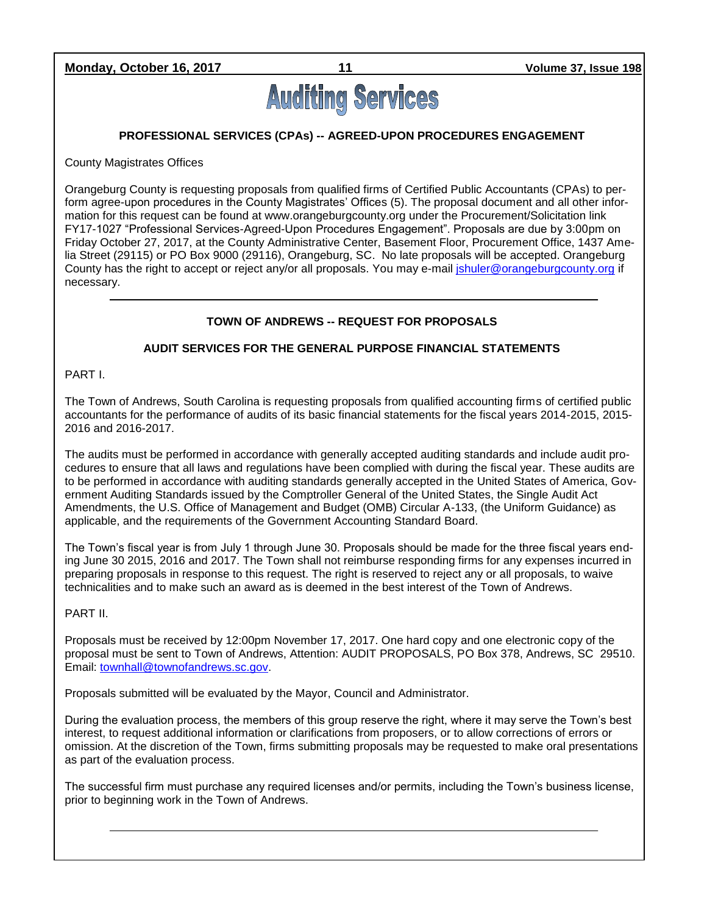**Monday, October 16, 2017 11 Volume 37, Issue 198**

# **Auditing Services**

### **PROFESSIONAL SERVICES (CPAs) -- AGREED-UPON PROCEDURES ENGAGEMENT**

County Magistrates Offices

Orangeburg County is requesting proposals from qualified firms of Certified Public Accountants (CPAs) to perform agree-upon procedures in the County Magistrates' Offices (5). The proposal document and all other information for this request can be found at www.orangeburgcounty.org under the Procurement/Solicitation link FY17-1027 "Professional Services-Agreed-Upon Procedures Engagement". Proposals are due by 3:00pm on Friday October 27, 2017, at the County Administrative Center, Basement Floor, Procurement Office, 1437 Amelia Street (29115) or PO Box 9000 (29116), Orangeburg, SC. No late proposals will be accepted. Orangeburg County has the right to accept or reject any/or all proposals. You may e-mail [jshuler@orangeburgcounty.org](mailto:jshuler@orangeburgcounty.org) if necessary.

### **TOWN OF ANDREWS -- REQUEST FOR PROPOSALS**

### **AUDIT SERVICES FOR THE GENERAL PURPOSE FINANCIAL STATEMENTS**

PART I.

The Town of Andrews, South Carolina is requesting proposals from qualified accounting firms of certified public accountants for the performance of audits of its basic financial statements for the fiscal years 2014-2015, 2015- 2016 and 2016-2017.

The audits must be performed in accordance with generally accepted auditing standards and include audit procedures to ensure that all laws and regulations have been complied with during the fiscal year. These audits are to be performed in accordance with auditing standards generally accepted in the United States of America, Government Auditing Standards issued by the Comptroller General of the United States, the Single Audit Act Amendments, the U.S. Office of Management and Budget (OMB) Circular A-133, (the Uniform Guidance) as applicable, and the requirements of the Government Accounting Standard Board.

The Town's fiscal year is from July 1 through June 30. Proposals should be made for the three fiscal years ending June 30 2015, 2016 and 2017. The Town shall not reimburse responding firms for any expenses incurred in preparing proposals in response to this request. The right is reserved to reject any or all proposals, to waive technicalities and to make such an award as is deemed in the best interest of the Town of Andrews.

PART II.

Proposals must be received by 12:00pm November 17, 2017. One hard copy and one electronic copy of the proposal must be sent to Town of Andrews, Attention: AUDIT PROPOSALS, PO Box 378, Andrews, SC 29510. Email: [townhall@townofandrews.sc.gov.](mailto:townhall@townofandrews.sc.gov)

Proposals submitted will be evaluated by the Mayor, Council and Administrator.

During the evaluation process, the members of this group reserve the right, where it may serve the Town's best interest, to request additional information or clarifications from proposers, or to allow corrections of errors or omission. At the discretion of the Town, firms submitting proposals may be requested to make oral presentations as part of the evaluation process.

The successful firm must purchase any required licenses and/or permits, including the Town's business license, prior to beginning work in the Town of Andrews.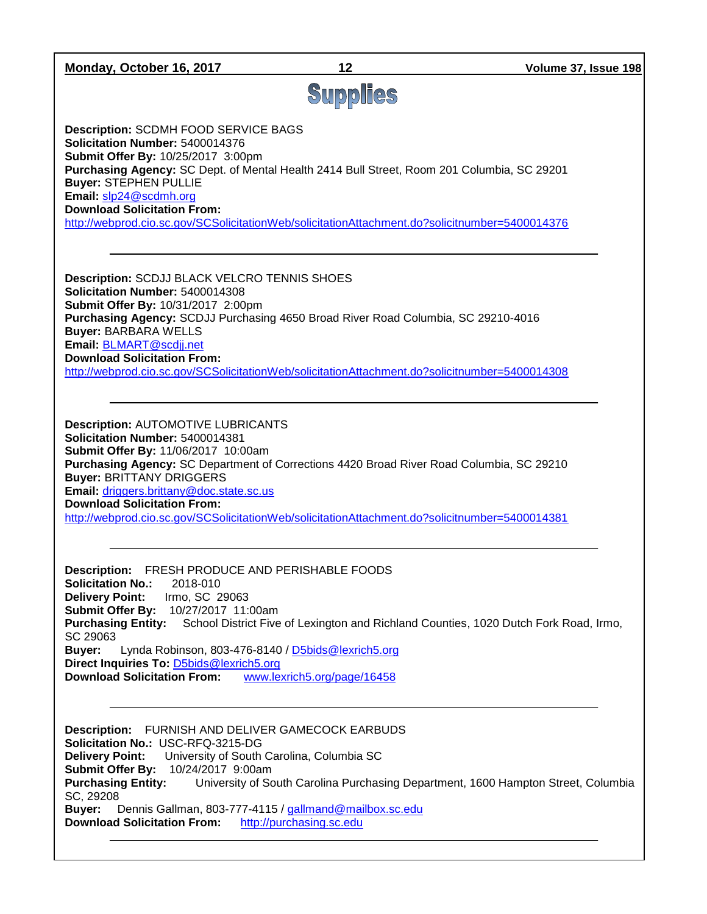| Monday, October 16, 2017                                                                                                                                                                                                                                                                                                                                                                                                                                                                     | 12                       | Volume 37, Issue 198                                                              |  |  |
|----------------------------------------------------------------------------------------------------------------------------------------------------------------------------------------------------------------------------------------------------------------------------------------------------------------------------------------------------------------------------------------------------------------------------------------------------------------------------------------------|--------------------------|-----------------------------------------------------------------------------------|--|--|
|                                                                                                                                                                                                                                                                                                                                                                                                                                                                                              | Supplies                 |                                                                                   |  |  |
|                                                                                                                                                                                                                                                                                                                                                                                                                                                                                              |                          |                                                                                   |  |  |
| <b>Description: SCDMH FOOD SERVICE BAGS</b><br>Solicitation Number: 5400014376<br>Submit Offer By: 10/25/2017 3:00pm<br>Purchasing Agency: SC Dept. of Mental Health 2414 Bull Street, Room 201 Columbia, SC 29201<br><b>Buyer: STEPHEN PULLIE</b><br>Email: slp24@scdmh.org<br><b>Download Solicitation From:</b><br>http://webprod.cio.sc.gov/SCSolicitationWeb/solicitationAttachment.do?solicitnumber=5400014376                                                                         |                          |                                                                                   |  |  |
| <b>Description: SCDJJ BLACK VELCRO TENNIS SHOES</b><br>Solicitation Number: 5400014308<br>Submit Offer By: 10/31/2017 2:00pm<br>Purchasing Agency: SCDJJ Purchasing 4650 Broad River Road Columbia, SC 29210-4016<br><b>Buyer: BARBARA WELLS</b><br>Email: BLMART@scdjj.net<br><b>Download Solicitation From:</b><br>http://webprod.cio.sc.gov/SCSolicitationWeb/solicitationAttachment.do?solicitnumber=5400014308                                                                          |                          |                                                                                   |  |  |
|                                                                                                                                                                                                                                                                                                                                                                                                                                                                                              |                          |                                                                                   |  |  |
| <b>Description: AUTOMOTIVE LUBRICANTS</b><br>Solicitation Number: 5400014381<br>Submit Offer By: 11/06/2017 10:00am<br>Purchasing Agency: SC Department of Corrections 4420 Broad River Road Columbia, SC 29210<br><b>Buyer: BRITTANY DRIGGERS</b><br>Email: driggers.brittany@doc.state.sc.us<br><b>Download Solicitation From:</b><br>http://webprod.cio.sc.gov/SCSolicitationWeb/solicitationAttachment.do?solicitnumber=5400014381                                                       |                          |                                                                                   |  |  |
| Description: FRESH PRODUCE AND PERISHABLE FOODS<br><b>Solicitation No.:</b><br>2018-010<br>Irmo, SC 29063<br><b>Delivery Point:</b><br>Submit Offer By: 10/27/2017 11:00am<br><b>Purchasing Entity:</b><br>School District Five of Lexington and Richland Counties, 1020 Dutch Fork Road, Irmo,<br>SC 29063<br>Lynda Robinson, 803-476-8140 / D5bids@lexrich5.org<br>Buyer:<br>Direct Inquiries To: D5bids@lexrich5.org<br><b>Download Solicitation From:</b><br>www.lexrich5.org/page/16458 |                          |                                                                                   |  |  |
| <b>Description:</b> FURNISH AND DELIVER GAMECOCK EARBUDS<br>Solicitation No.: USC-RFQ-3215-DG<br><b>Delivery Point:</b><br>University of South Carolina, Columbia SC<br>Submit Offer By: 10/24/2017 9:00am<br><b>Purchasing Entity:</b><br>SC, 29208<br>Buyer:<br>Dennis Gallman, 803-777-4115 / gallmand@mailbox.sc.edu<br><b>Download Solicitation From:</b>                                                                                                                               | http://purchasing.sc.edu | University of South Carolina Purchasing Department, 1600 Hampton Street, Columbia |  |  |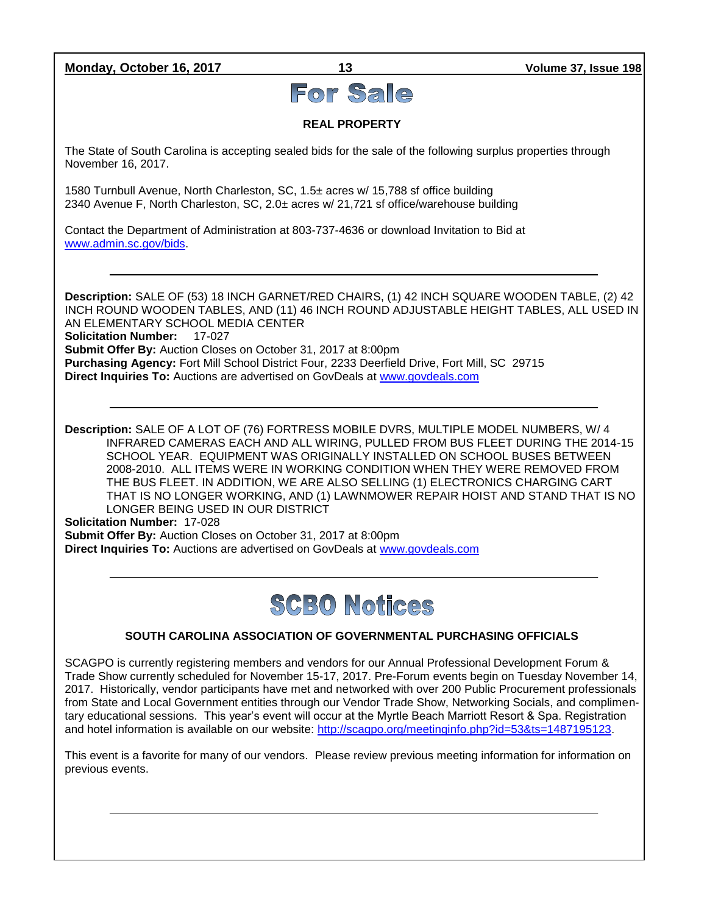**Monday, October 16, 2017 13 Volume 37, Issue 198**

# For Sale

### **REAL PROPERTY**

The State of South Carolina is accepting sealed bids for the sale of the following surplus properties through November 16, 2017.

1580 Turnbull Avenue, North Charleston, SC, 1.5± acres w/ 15,788 sf office building 2340 Avenue F, North Charleston, SC, 2.0± acres w/ 21,721 sf office/warehouse building

Contact the Department of Administration at 803-737-4636 or download Invitation to Bid at [www.admin.sc.gov/bids.](http://www.admin.sc.gov/bids)

**Description:** SALE OF (53) 18 INCH GARNET/RED CHAIRS, (1) 42 INCH SQUARE WOODEN TABLE, (2) 42 INCH ROUND WOODEN TABLES, AND (11) 46 INCH ROUND ADJUSTABLE HEIGHT TABLES, ALL USED IN AN ELEMENTARY SCHOOL MEDIA CENTER **Solicitation Number:** 17-027 **Submit Offer By:** Auction Closes on October 31, 2017 at 8:00pm **Purchasing Agency:** Fort Mill School District Four, 2233 Deerfield Drive, Fort Mill, SC 29715 **Direct Inquiries To:** Auctions are advertised on GovDeals at [www.govdeals.com](http://www.govdeals.com/)

**Description:** SALE OF A LOT OF (76) FORTRESS MOBILE DVRS, MULTIPLE MODEL NUMBERS, W/ 4 INFRARED CAMERAS EACH AND ALL WIRING, PULLED FROM BUS FLEET DURING THE 2014-15 SCHOOL YEAR. EQUIPMENT WAS ORIGINALLY INSTALLED ON SCHOOL BUSES BETWEEN 2008-2010. ALL ITEMS WERE IN WORKING CONDITION WHEN THEY WERE REMOVED FROM THE BUS FLEET. IN ADDITION, WE ARE ALSO SELLING (1) ELECTRONICS CHARGING CART THAT IS NO LONGER WORKING, AND (1) LAWNMOWER REPAIR HOIST AND STAND THAT IS NO LONGER BEING USED IN OUR DISTRICT

**Solicitation Number:** 17-028 **Submit Offer By:** Auction Closes on October 31, 2017 at 8:00pm **Direct Inquiries To:** Auctions are advertised on GovDeals at [www.govdeals.com](http://www.govdeals.com/)

# **SCBO Notices**

### **SOUTH CAROLINA ASSOCIATION OF GOVERNMENTAL PURCHASING OFFICIALS**

SCAGPO is currently registering members and vendors for our Annual Professional Development Forum & Trade Show currently scheduled for November 15-17, 2017. Pre-Forum events begin on Tuesday November 14, 2017. Historically, vendor participants have met and networked with over 200 Public Procurement professionals from State and Local Government entities through our Vendor Trade Show, Networking Socials, and complimentary educational sessions. This year's event will occur at the Myrtle Beach Marriott Resort & Spa. Registration and hotel information is available on our website: [http://scagpo.org/meetinginfo.php?id=53&ts=1487195123.](http://scagpo.org/meetinginfo.php?id=53&ts=1487195123)

This event is a favorite for many of our vendors. Please review previous meeting information for information on previous events.